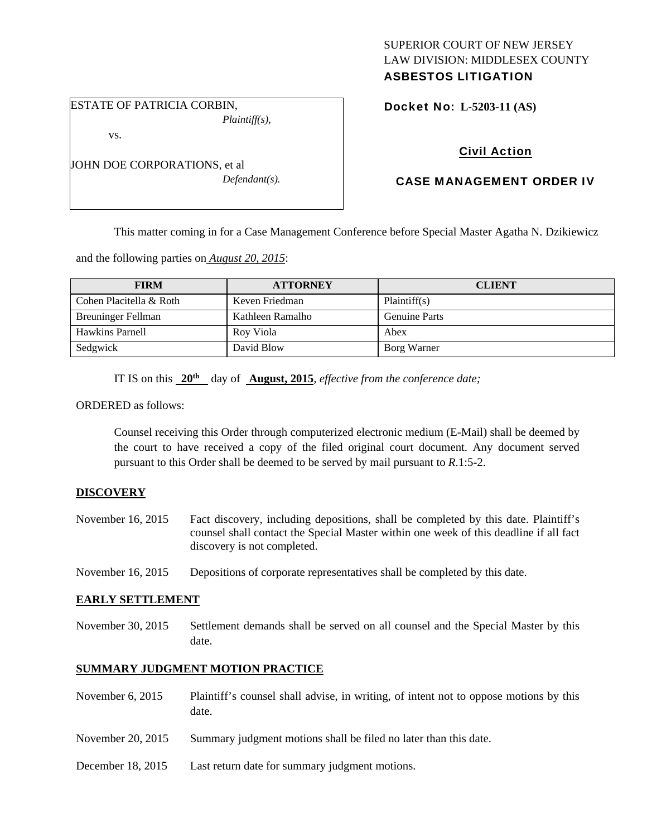# SUPERIOR COURT OF NEW JERSEY LAW DIVISION: MIDDLESEX COUNTY

# ASBESTOS LITIGATION

ESTATE OF PATRICIA CORBIN, *Plaintiff(s),* 

vs.

JOHN DOE CORPORATIONS, et al *Defendant(s).*  Docket No: **L-5203-11 (AS)** 

# Civil Action

## CASE MANAGEMENT ORDER IV

This matter coming in for a Case Management Conference before Special Master Agatha N. Dzikiewicz

and the following parties on *August 20, 2015*:

| <b>FIRM</b>               | <b>ATTORNEY</b>  | <b>CLIENT</b>        |
|---------------------------|------------------|----------------------|
| Cohen Placitella & Roth   | Keven Friedman   | Plaintiff(s)         |
| <b>Breuninger Fellman</b> | Kathleen Ramalho | <b>Genuine Parts</b> |
| <b>Hawkins Parnell</b>    | Roy Viola        | Abex                 |
| Sedgwick                  | David Blow       | Borg Warner          |

IT IS on this **20th** day of **August, 2015**, *effective from the conference date;*

ORDERED as follows:

Counsel receiving this Order through computerized electronic medium (E-Mail) shall be deemed by the court to have received a copy of the filed original court document. Any document served pursuant to this Order shall be deemed to be served by mail pursuant to *R*.1:5-2.

### **DISCOVERY**

- November 16, 2015 Fact discovery, including depositions, shall be completed by this date. Plaintiff's counsel shall contact the Special Master within one week of this deadline if all fact discovery is not completed.
- November 16, 2015 Depositions of corporate representatives shall be completed by this date.

### **EARLY SETTLEMENT**

November 30, 2015 Settlement demands shall be served on all counsel and the Special Master by this date.

## **SUMMARY JUDGMENT MOTION PRACTICE**

- November 6, 2015 Plaintiff's counsel shall advise, in writing, of intent not to oppose motions by this date.
- November 20, 2015 Summary judgment motions shall be filed no later than this date.
- December 18, 2015 Last return date for summary judgment motions.